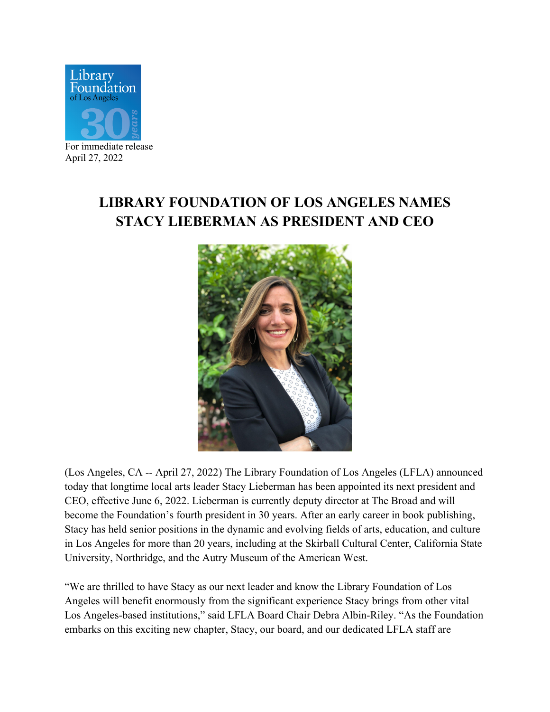

For immediate release April 27, 2022

## **LIBRARY FOUNDATION OF LOS ANGELES NAMES STACY LIEBERMAN AS PRESIDENT AND CEO**



(Los Angeles, CA -- April 27, 2022) The Library Foundation of Los Angeles (LFLA) announced today that longtime local arts leader Stacy Lieberman has been appointed its next president and CEO, effective June 6, 2022. Lieberman is currently deputy director at The Broad and will become the Foundation's fourth president in 30 years. After an early career in book publishing, Stacy has held senior positions in the dynamic and evolving fields of arts, education, and culture in Los Angeles for more than 20 years, including at the Skirball Cultural Center, California State University, Northridge, and the Autry Museum of the American West.

"We are thrilled to have Stacy as our next leader and know the Library Foundation of Los Angeles will benefit enormously from the significant experience Stacy brings from other vital Los Angeles-based institutions," said LFLA Board Chair Debra Albin-Riley. "As the Foundation embarks on this exciting new chapter, Stacy, our board, and our dedicated LFLA staff are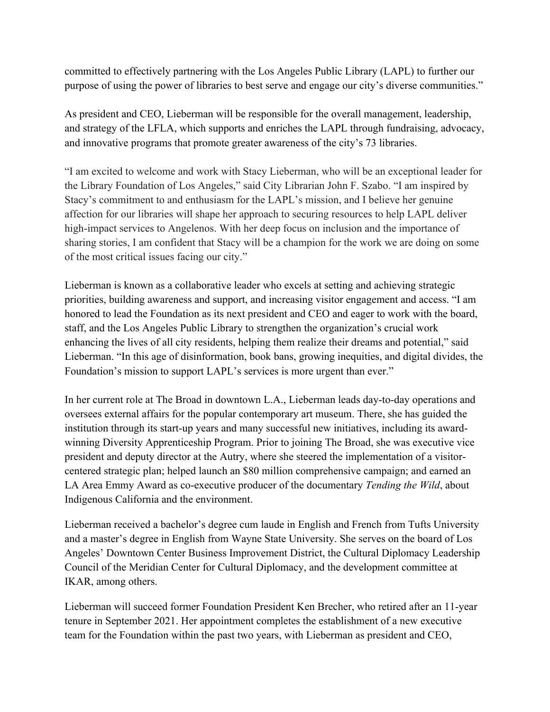committed to effectively partnering with the Los Angeles Public Library (LAPL) to further our purpose of using the power of libraries to best serve and engage our city's diverse communities."

As president and CEO, Lieberman will be responsible for the overall management, leadership, and strategy of the LFLA, which supports and enriches the LAPL through fundraising, advocacy, and innovative programs that promote greater awareness of the city's 73 libraries.

"I am excited to welcome and work with Stacy Lieberman, who will be an exceptional leader for the Library Foundation of Los Angeles," said City Librarian John F. Szabo. "I am inspired by Stacy's commitment to and enthusiasm for the LAPL's mission, and I believe her genuine affection for our libraries will shape her approach to securing resources to help LAPL deliver high-impact services to Angelenos. With her deep focus on inclusion and the importance of sharing stories, I am confident that Stacy will be a champion for the work we are doing on some of the most critical issues facing our city."

Lieberman is known as a collaborative leader who excels at setting and achieving strategic priorities, building awareness and support, and increasing visitor engagement and access. "I am honored to lead the Foundation as its next president and CEO and eager to work with the board, staff, and the Los Angeles Public Library to strengthen the organization's crucial work enhancing the lives of all city residents, helping them realize their dreams and potential," said Lieberman. "In this age of disinformation, book bans, growing inequities, and digital divides, the Foundation's mission to support LAPL's services is more urgent than ever."

In her current role at The Broad in downtown L.A., Lieberman leads day-to-day operations and oversees external affairs for the popular contemporary art museum. There, she has guided the institution through its start-up years and many successful new initiatives, including its awardwinning Diversity Apprenticeship Program. Prior to joining The Broad, she was executive vice president and deputy director at the Autry, where she steered the implementation of a visitorcentered strategic plan; helped launch an \$80 million comprehensive campaign; and earned an LA Area Emmy Award as co-executive producer of the documentary *Tending the Wild*, about Indigenous California and the environment.

Lieberman received a bachelor's degree cum laude in English and French from Tufts University and a master's degree in English from Wayne State University. She serves on the board of Los Angeles' Downtown Center Business Improvement District, the Cultural Diplomacy Leadership Council of the Meridian Center for Cultural Diplomacy, and the development committee at IKAR, among others.

Lieberman will succeed former Foundation President Ken Brecher, who retired after an 11-year tenure in September 2021. Her appointment completes the establishment of a new executive team for the Foundation within the past two years, with Lieberman as president and CEO,